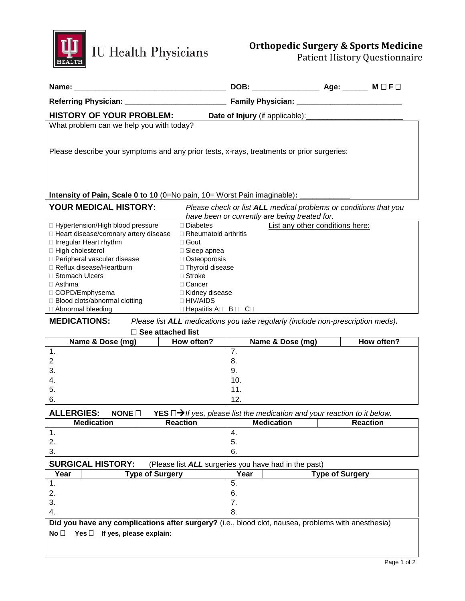

# **Orthopedic Surgery & Sports Medicine**

Patient History Questionnaire

| <b>HISTORY OF YOUR PROBLEM:</b>                                                                        |                                             |     |                                                                                                                   |  |            |  |
|--------------------------------------------------------------------------------------------------------|---------------------------------------------|-----|-------------------------------------------------------------------------------------------------------------------|--|------------|--|
| What problem can we help you with today?                                                               |                                             |     |                                                                                                                   |  |            |  |
| Please describe your symptoms and any prior tests, x-rays, treatments or prior surgeries:              |                                             |     |                                                                                                                   |  |            |  |
| Intensity of Pain, Scale 0 to 10 (0=No pain, 10= Worst Pain imaginable):                               |                                             |     |                                                                                                                   |  |            |  |
| <b>YOUR MEDICAL HISTORY:</b>                                                                           |                                             |     | Please check or list ALL medical problems or conditions that you<br>have been or currently are being treated for. |  |            |  |
| □ Hypertension/High blood pressure                                                                     | □ Diabetes                                  |     | List any other conditions here:                                                                                   |  |            |  |
| □ Heart disease/coronary artery disease                                                                | $\Box$ Rheumatoid arthritis                 |     |                                                                                                                   |  |            |  |
| □ Irregular Heart rhythm                                                                               | $\Box$ Gout                                 |     |                                                                                                                   |  |            |  |
| □ High cholesterol                                                                                     | □ Sleep apnea                               |     |                                                                                                                   |  |            |  |
| Peripheral vascular disease                                                                            | □ Osteoporosis                              |     |                                                                                                                   |  |            |  |
| Reflux disease/Heartburn                                                                               | □ Thyroid disease                           |     |                                                                                                                   |  |            |  |
| □ Stomach Ulcers                                                                                       | $\Box$ Stroke                               |     |                                                                                                                   |  |            |  |
| $\Box$ Asthma                                                                                          | □ Cancer                                    |     |                                                                                                                   |  |            |  |
| □ COPD/Emphysema                                                                                       | □ Kidney disease                            |     |                                                                                                                   |  |            |  |
| □ Blood clots/abnormal clotting                                                                        | $\Box$ HIV/AIDS                             |     |                                                                                                                   |  |            |  |
| □ Abnormal bleeding                                                                                    | $\Box$ Hepatitis A $\Box$ B $\Box$ C $\Box$ |     |                                                                                                                   |  |            |  |
| <b>MEDICATIONS:</b><br>Please list ALL medications you take regularly (include non-prescription meds). |                                             |     |                                                                                                                   |  |            |  |
| $\Box$ See attached list                                                                               |                                             |     |                                                                                                                   |  |            |  |
| Name & Dose (mg)                                                                                       | How often?                                  |     | Name & Dose (mg)                                                                                                  |  | How often? |  |
| 1.                                                                                                     |                                             | 7.  |                                                                                                                   |  |            |  |
| $\overline{2}$                                                                                         |                                             | 8.  |                                                                                                                   |  |            |  |
| 3.                                                                                                     |                                             | 9.  |                                                                                                                   |  |            |  |
| 4.                                                                                                     |                                             | 10. |                                                                                                                   |  |            |  |
|                                                                                                        |                                             |     |                                                                                                                   |  |            |  |
| 5.                                                                                                     |                                             | 11. |                                                                                                                   |  |            |  |
| 6.                                                                                                     |                                             | 12. |                                                                                                                   |  |            |  |

**ALLERGIES: NONE YES** *If yes, please list the medication and your reaction to it below.*

|          | <b>Medication</b> | <b>Reaction</b> | <b>Medication</b> | <b>Reaction</b> |
|----------|-------------------|-----------------|-------------------|-----------------|
| . .      |                   |                 | →.                |                 |
| <u>.</u> |                   |                 | J.                |                 |
| . ت      |                   |                 | O.                |                 |

### **SURGICAL HISTORY:** (Please list **ALL** surgeries you have had in the past)

| Year                                                                                               | <b>Type of Surgery</b> | Year | <b>Type of Surgery</b> |  |
|----------------------------------------------------------------------------------------------------|------------------------|------|------------------------|--|
|                                                                                                    |                        |      |                        |  |
|                                                                                                    |                        | 6.   |                        |  |
| -3.                                                                                                |                        |      |                        |  |
|                                                                                                    |                        |      |                        |  |
| Did you have any complications after surgery? (i.e., blood clot, nausea, problems with anesthesia) |                        |      |                        |  |

**No Yes If yes, please explain:**